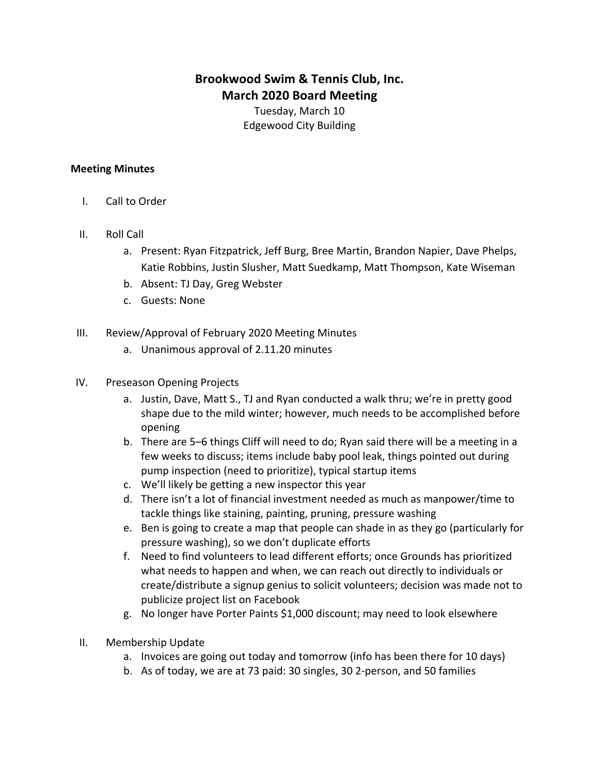## **Brookwood Swim & Tennis Club, Inc. March 2020 Board Meeting**

Tuesday, March 10 Edgewood City Building

## **Meeting Minutes**

- I. Call to Order
- II. Roll Call
	- a. Present: Ryan Fitzpatrick, Jeff Burg, Bree Martin, Brandon Napier, Dave Phelps, Katie Robbins, Justin Slusher, Matt Suedkamp, Matt Thompson, Kate Wiseman
	- b. Absent: TJ Day, Greg Webster
	- c. Guests: None
- III. Review/Approval of February 2020 Meeting Minutes
	- a. Unanimous approval of 2.11.20 minutes
- IV. Preseason Opening Projects
	- a. Justin, Dave, Matt S., TJ and Ryan conducted a walk thru; we're in pretty good shape due to the mild winter; however, much needs to be accomplished before opening
	- b. There are 5–6 things Cliff will need to do; Ryan said there will be a meeting in a few weeks to discuss; items include baby pool leak, things pointed out during pump inspection (need to prioritize), typical startup items
	- c. We'll likely be getting a new inspector this year
	- d. There isn't a lot of financial investment needed as much as manpower/time to tackle things like staining, painting, pruning, pressure washing
	- e. Ben is going to create a map that people can shade in as they go (particularly for pressure washing), so we don't duplicate efforts
	- f. Need to find volunteers to lead different efforts; once Grounds has prioritized what needs to happen and when, we can reach out directly to individuals or create/distribute a signup genius to solicit volunteers; decision was made not to publicize project list on Facebook
	- g. No longer have Porter Paints \$1,000 discount; may need to look elsewhere
- II. Membership Update
	- a. Invoices are going out today and tomorrow (info has been there for 10 days)
	- b. As of today, we are at 73 paid: 30 singles, 30 2-person, and 50 families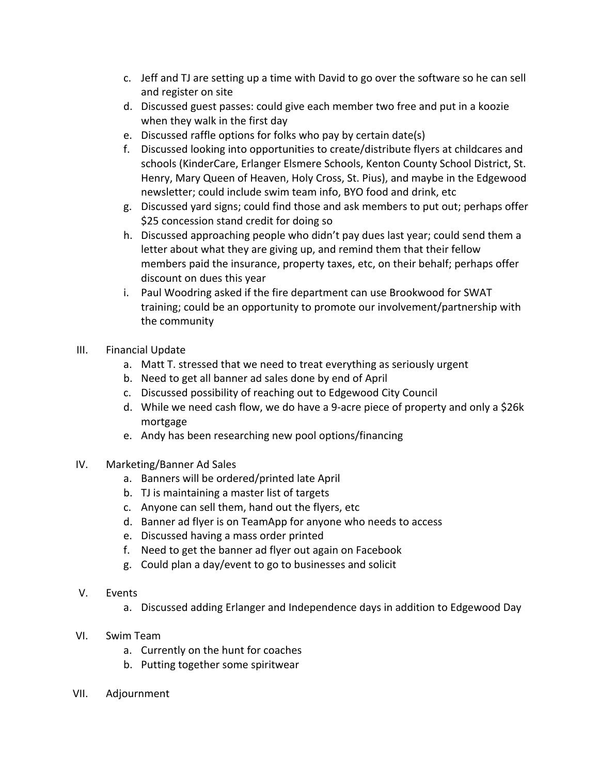- c. Jeff and TJ are setting up a time with David to go over the software so he can sell and register on site
- d. Discussed guest passes: could give each member two free and put in a koozie when they walk in the first day
- e. Discussed raffle options for folks who pay by certain date(s)
- f. Discussed looking into opportunities to create/distribute flyers at childcares and schools (KinderCare, Erlanger Elsmere Schools, Kenton County School District, St. Henry, Mary Queen of Heaven, Holy Cross, St. Pius), and maybe in the Edgewood newsletter; could include swim team info, BYO food and drink, etc
- g. Discussed yard signs; could find those and ask members to put out; perhaps offer \$25 concession stand credit for doing so
- h. Discussed approaching people who didn't pay dues last year; could send them a letter about what they are giving up, and remind them that their fellow members paid the insurance, property taxes, etc, on their behalf; perhaps offer discount on dues this year
- i. Paul Woodring asked if the fire department can use Brookwood for SWAT training; could be an opportunity to promote our involvement/partnership with the community
- III. Financial Update
	- a. Matt T. stressed that we need to treat everything as seriously urgent
	- b. Need to get all banner ad sales done by end of April
	- c. Discussed possibility of reaching out to Edgewood City Council
	- d. While we need cash flow, we do have a 9-acre piece of property and only a \$26k mortgage
	- e. Andy has been researching new pool options/financing
- IV. Marketing/Banner Ad Sales
	- a. Banners will be ordered/printed late April
	- b. TJ is maintaining a master list of targets
	- c. Anyone can sell them, hand out the flyers, etc.
	- d. Banner ad flyer is on TeamApp for anyone who needs to access
	- e. Discussed having a mass order printed
	- f. Need to get the banner ad flyer out again on Facebook
	- g. Could plan a day/event to go to businesses and solicit
- V. Events
	- a. Discussed adding Erlanger and Independence days in addition to Edgewood Day
- VI. Swim Team
	- a. Currently on the hunt for coaches
	- b. Putting together some spiritwear
- VII. Adjournment